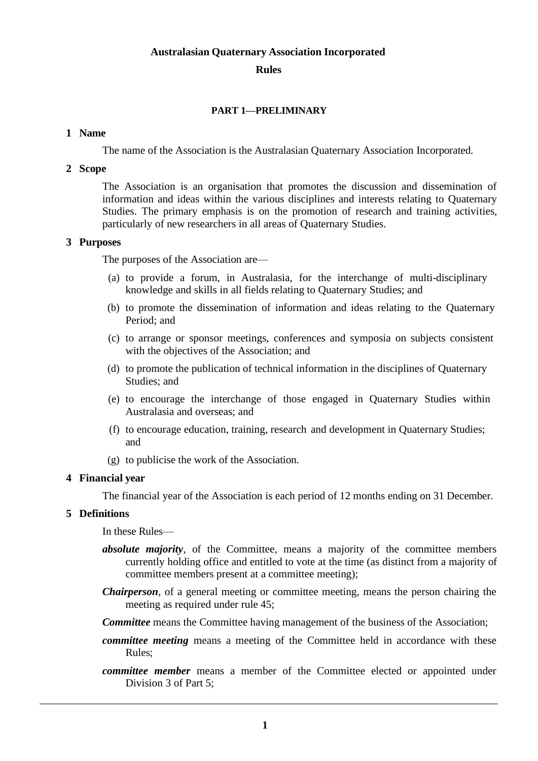#### **Australasian Quaternary Association Incorporated**

# **Rules**

## **PART 1—PRELIMINARY**

#### **1 Name**

The name of the Association is the Australasian Quaternary Association Incorporated.

## **2 Scope**

The Association is an organisation that promotes the discussion and dissemination of information and ideas within the various disciplines and interests relating to Quaternary Studies. The primary emphasis is on the promotion of research and training activities, particularly of new researchers in all areas of Quaternary Studies.

## **3 Purposes**

The purposes of the Association are—

- (a) to provide a forum, in Australasia, for the interchange of multi-disciplinary knowledge and skills in all fields relating to Quaternary Studies; and
- (b) to promote the dissemination of information and ideas relating to the Quaternary Period; and
- (c) to arrange or sponsor meetings, conferences and symposia on subjects consistent with the objectives of the Association; and
- (d) to promote the publication of technical information in the disciplines of Quaternary Studies; and
- (e) to encourage the interchange of those engaged in Quaternary Studies within Australasia and overseas; and
- (f) to encourage education, training, research and development in Quaternary Studies; and
- (g) to publicise the work of the Association.

## **4 Financial year**

The financial year of the Association is each period of 12 months ending on 31 December.

## **5 Definitions**

In these Rules—

- *absolute majority*, of the Committee, means a majority of the committee members currently holding office and entitled to vote at the time (as distinct from a majority of committee members present at a committee meeting);
- *Chairperson*, of a general meeting or committee meeting, means the person chairing the meeting as required under rule 45;
- *Committee* means the Committee having management of the business of the Association;
- *committee meeting* means a meeting of the Committee held in accordance with these Rules;
- *committee member* means a member of the Committee elected or appointed under Division 3 of Part 5;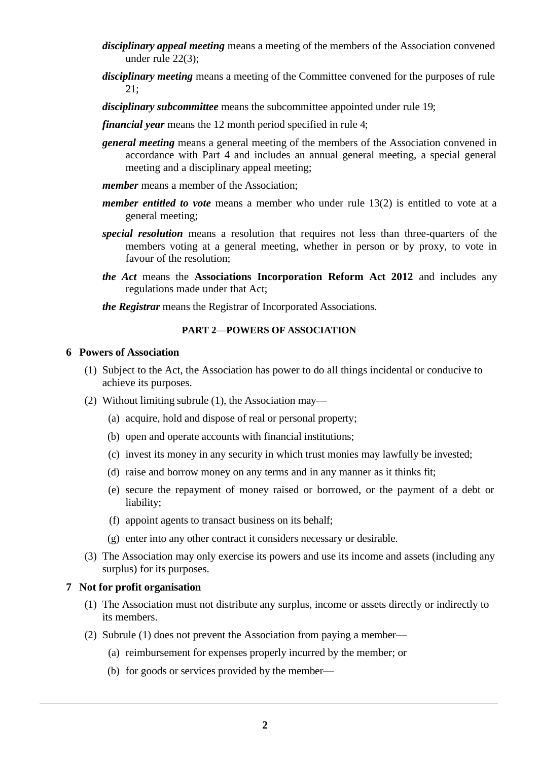- *disciplinary appeal meeting* means a meeting of the members of the Association convened under rule 22(3);
- *disciplinary meeting* means a meeting of the Committee convened for the purposes of rule 21;
- *disciplinary subcommittee* means the subcommittee appointed under rule 19;
- *financial year* means the 12 month period specified in rule 4;
- *general meeting* means a general meeting of the members of the Association convened in accordance with Part 4 and includes an annual general meeting, a special general meeting and a disciplinary appeal meeting;
- *member* means a member of the Association;
- *member entitled to vote* means a member who under rule 13(2) is entitled to vote at a general meeting;
- *special resolution* means a resolution that requires not less than three-quarters of the members voting at a general meeting, whether in person or by proxy, to vote in favour of the resolution;
- *the Act* means the **Associations Incorporation Reform Act 2012** and includes any regulations made under that Act;
- *the Registrar* means the Registrar of Incorporated Associations.

#### **PART 2—POWERS OF ASSOCIATION**

#### **6 Powers of Association**

- (1) Subject to the Act, the Association has power to do all things incidental or conducive to achieve its purposes.
- (2) Without limiting subrule (1), the Association may—
	- (a) acquire, hold and dispose of real or personal property;
	- (b) open and operate accounts with financial institutions;
	- (c) invest its money in any security in which trust monies may lawfully be invested;
	- (d) raise and borrow money on any terms and in any manner as it thinks fit;
	- (e) secure the repayment of money raised or borrowed, or the payment of a debt or liability;
	- (f) appoint agents to transact business on its behalf;
	- (g) enter into any other contract it considers necessary or desirable.
- (3) The Association may only exercise its powers and use its income and assets (including any surplus) for its purposes.

#### **7 Not for profit organisation**

- (1) The Association must not distribute any surplus, income or assets directly or indirectly to its members.
- (2) Subrule (1) does not prevent the Association from paying a member—
	- (a) reimbursement for expenses properly incurred by the member; or
	- (b) for goods or services provided by the member—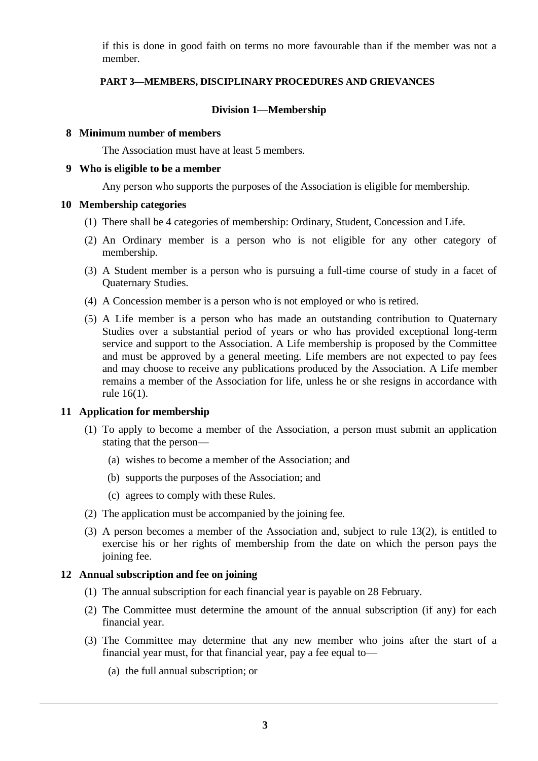if this is done in good faith on terms no more favourable than if the member was not a member.

## **PART 3—MEMBERS, DISCIPLINARY PROCEDURES AND GRIEVANCES**

# **Division 1—Membership**

#### **8 Minimum number of members**

The Association must have at least 5 members.

#### **9 Who is eligible to be a member**

Any person who supports the purposes of the Association is eligible for membership.

## **10 Membership categories**

- (1) There shall be 4 categories of membership: Ordinary, Student, Concession and Life.
- (2) An Ordinary member is a person who is not eligible for any other category of membership.
- (3) A Student member is a person who is pursuing a full-time course of study in a facet of Quaternary Studies.
- (4) A Concession member is a person who is not employed or who is retired.
- (5) A Life member is a person who has made an outstanding contribution to Quaternary Studies over a substantial period of years or who has provided exceptional long-term service and support to the Association. A Life membership is proposed by the Committee and must be approved by a general meeting. Life members are not expected to pay fees and may choose to receive any publications produced by the Association. A Life member remains a member of the Association for life, unless he or she resigns in accordance with rule 16(1).

## **11 Application for membership**

- (1) To apply to become a member of the Association, a person must submit an application stating that the person—
	- (a) wishes to become a member of the Association; and
	- (b) supports the purposes of the Association; and
	- (c) agrees to comply with these Rules.
- (2) The application must be accompanied by the joining fee.
- (3) A person becomes a member of the Association and, subject to rule 13(2), is entitled to exercise his or her rights of membership from the date on which the person pays the joining fee.

## **12 Annual subscription and fee on joining**

- (1) The annual subscription for each financial year is payable on 28 February.
- (2) The Committee must determine the amount of the annual subscription (if any) for each financial year.
- (3) The Committee may determine that any new member who joins after the start of a financial year must, for that financial year, pay a fee equal to—
	- (a) the full annual subscription; or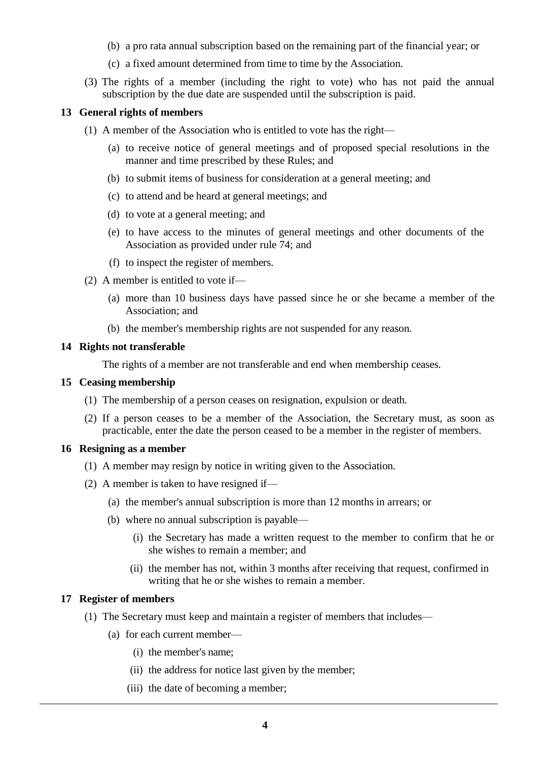- (b) a pro rata annual subscription based on the remaining part of the financial year; or
- (c) a fixed amount determined from time to time by the Association.
- (3) The rights of a member (including the right to vote) who has not paid the annual subscription by the due date are suspended until the subscription is paid.

## **13 General rights of members**

- (1) A member of the Association who is entitled to vote has the right—
	- (a) to receive notice of general meetings and of proposed special resolutions in the manner and time prescribed by these Rules; and
	- (b) to submit items of business for consideration at a general meeting; and
	- (c) to attend and be heard at general meetings; and
	- (d) to vote at a general meeting; and
	- (e) to have access to the minutes of general meetings and other documents of the Association as provided under rule 74; and
	- (f) to inspect the register of members.
- (2) A member is entitled to vote if—
	- (a) more than 10 business days have passed since he or she became a member of the Association; and
	- (b) the member's membership rights are not suspended for any reason.

#### **14 Rights not transferable**

The rights of a member are not transferable and end when membership ceases.

#### **15 Ceasing membership**

- (1) The membership of a person ceases on resignation, expulsion or death.
- (2) If a person ceases to be a member of the Association, the Secretary must, as soon as practicable, enter the date the person ceased to be a member in the register of members.

## **16 Resigning as a member**

- (1) A member may resign by notice in writing given to the Association.
- (2) A member is taken to have resigned if—
	- (a) the member's annual subscription is more than 12 months in arrears; or
	- (b) where no annual subscription is payable—
		- (i) the Secretary has made a written request to the member to confirm that he or she wishes to remain a member; and
		- (ii) the member has not, within 3 months after receiving that request, confirmed in writing that he or she wishes to remain a member.

## **17 Register of members**

- (1) The Secretary must keep and maintain a register of members that includes—
	- (a) for each current member—
		- (i) the member's name;
		- (ii) the address for notice last given by the member;
		- (iii) the date of becoming a member;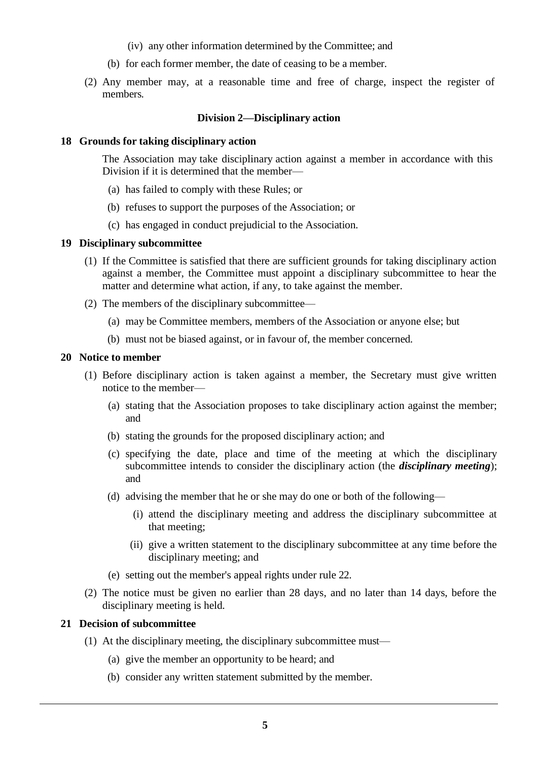- (iv) any other information determined by the Committee; and
- (b) for each former member, the date of ceasing to be a member.
- (2) Any member may, at a reasonable time and free of charge, inspect the register of members.

#### **Division 2—Disciplinary action**

#### **18 Grounds for taking disciplinary action**

The Association may take disciplinary action against a member in accordance with this Division if it is determined that the member—

- (a) has failed to comply with these Rules; or
- (b) refuses to support the purposes of the Association; or
- (c) has engaged in conduct prejudicial to the Association.

#### **19 Disciplinary subcommittee**

- (1) If the Committee is satisfied that there are sufficient grounds for taking disciplinary action against a member, the Committee must appoint a disciplinary subcommittee to hear the matter and determine what action, if any, to take against the member.
- (2) The members of the disciplinary subcommittee—
	- (a) may be Committee members, members of the Association or anyone else; but
	- (b) must not be biased against, or in favour of, the member concerned.

#### **20 Notice to member**

- (1) Before disciplinary action is taken against a member, the Secretary must give written notice to the member—
	- (a) stating that the Association proposes to take disciplinary action against the member; and
	- (b) stating the grounds for the proposed disciplinary action; and
	- (c) specifying the date, place and time of the meeting at which the disciplinary subcommittee intends to consider the disciplinary action (the *disciplinary meeting*); and
	- (d) advising the member that he or she may do one or both of the following—
		- (i) attend the disciplinary meeting and address the disciplinary subcommittee at that meeting;
		- (ii) give a written statement to the disciplinary subcommittee at any time before the disciplinary meeting; and
	- (e) setting out the member's appeal rights under rule 22.
- (2) The notice must be given no earlier than 28 days, and no later than 14 days, before the disciplinary meeting is held.

## **21 Decision of subcommittee**

- (1) At the disciplinary meeting, the disciplinary subcommittee must—
	- (a) give the member an opportunity to be heard; and
	- (b) consider any written statement submitted by the member.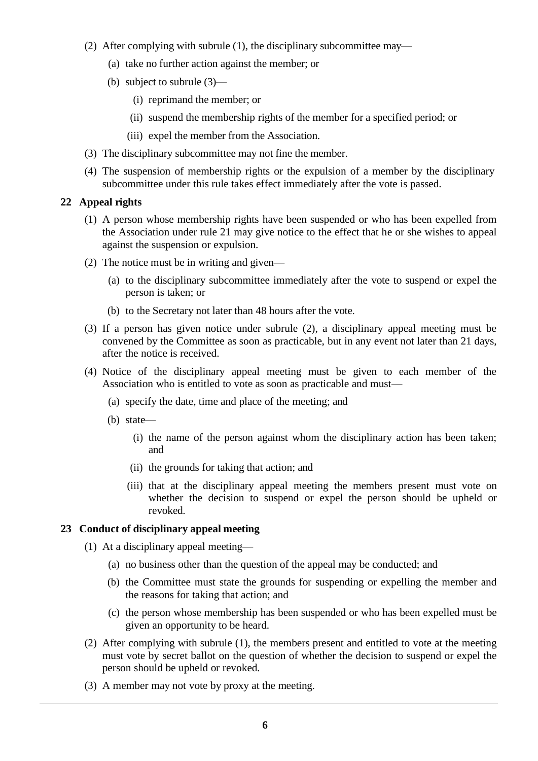- (2) After complying with subrule (1), the disciplinary subcommittee may—
	- (a) take no further action against the member; or
	- (b) subject to subrule (3)—
		- (i) reprimand the member; or
		- (ii) suspend the membership rights of the member for a specified period; or
		- (iii) expel the member from the Association.
- (3) The disciplinary subcommittee may not fine the member.
- (4) The suspension of membership rights or the expulsion of a member by the disciplinary subcommittee under this rule takes effect immediately after the vote is passed.

# **22 Appeal rights**

- (1) A person whose membership rights have been suspended or who has been expelled from the Association under rule 21 may give notice to the effect that he or she wishes to appeal against the suspension or expulsion.
- (2) The notice must be in writing and given—
	- (a) to the disciplinary subcommittee immediately after the vote to suspend or expel the person is taken; or
	- (b) to the Secretary not later than 48 hours after the vote.
- (3) If a person has given notice under subrule (2), a disciplinary appeal meeting must be convened by the Committee as soon as practicable, but in any event not later than 21 days, after the notice is received.
- (4) Notice of the disciplinary appeal meeting must be given to each member of the Association who is entitled to vote as soon as practicable and must—
	- (a) specify the date, time and place of the meeting; and
	- (b) state—
		- (i) the name of the person against whom the disciplinary action has been taken; and
		- (ii) the grounds for taking that action; and
		- (iii) that at the disciplinary appeal meeting the members present must vote on whether the decision to suspend or expel the person should be upheld or revoked.

# **23 Conduct of disciplinary appeal meeting**

- (1) At a disciplinary appeal meeting—
	- (a) no business other than the question of the appeal may be conducted; and
	- (b) the Committee must state the grounds for suspending or expelling the member and the reasons for taking that action; and
	- (c) the person whose membership has been suspended or who has been expelled must be given an opportunity to be heard.
- (2) After complying with subrule (1), the members present and entitled to vote at the meeting must vote by secret ballot on the question of whether the decision to suspend or expel the person should be upheld or revoked.
- (3) A member may not vote by proxy at the meeting.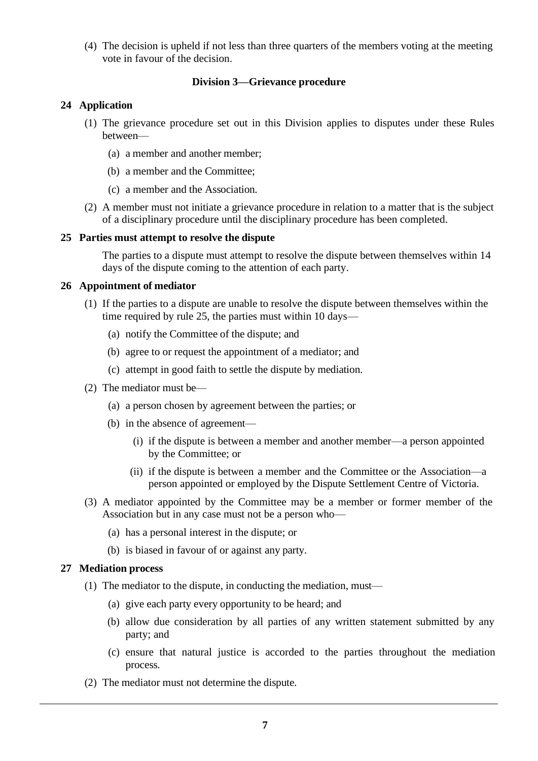(4) The decision is upheld if not less than three quarters of the members voting at the meeting vote in favour of the decision.

## **Division 3—Grievance procedure**

# **24 Application**

- (1) The grievance procedure set out in this Division applies to disputes under these Rules between—
	- (a) a member and another member;
	- (b) a member and the Committee;
	- (c) a member and the Association.
- (2) A member must not initiate a grievance procedure in relation to a matter that is the subject of a disciplinary procedure until the disciplinary procedure has been completed.

## **25 Parties must attempt to resolve the dispute**

The parties to a dispute must attempt to resolve the dispute between themselves within 14 days of the dispute coming to the attention of each party.

## **26 Appointment of mediator**

- (1) If the parties to a dispute are unable to resolve the dispute between themselves within the time required by rule 25, the parties must within 10 days—
	- (a) notify the Committee of the dispute; and
	- (b) agree to or request the appointment of a mediator; and
	- (c) attempt in good faith to settle the dispute by mediation.
- (2) The mediator must be—
	- (a) a person chosen by agreement between the parties; or
	- (b) in the absence of agreement—
		- (i) if the dispute is between a member and another member—a person appointed by the Committee; or
		- (ii) if the dispute is between a member and the Committee or the Association—a person appointed or employed by the Dispute Settlement Centre of Victoria.
- (3) A mediator appointed by the Committee may be a member or former member of the Association but in any case must not be a person who—
	- (a) has a personal interest in the dispute; or
	- (b) is biased in favour of or against any party.

## **27 Mediation process**

- (1) The mediator to the dispute, in conducting the mediation, must—
	- (a) give each party every opportunity to be heard; and
	- (b) allow due consideration by all parties of any written statement submitted by any party; and
	- (c) ensure that natural justice is accorded to the parties throughout the mediation process.
- (2) The mediator must not determine the dispute.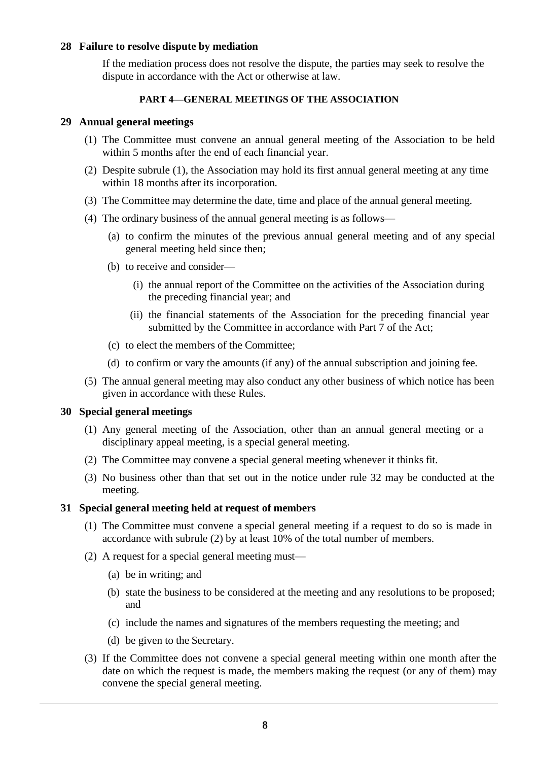### **28 Failure to resolve dispute by mediation**

If the mediation process does not resolve the dispute, the parties may seek to resolve the dispute in accordance with the Act or otherwise at law.

#### **PART 4—GENERAL MEETINGS OF THE ASSOCIATION**

#### **29 Annual general meetings**

- (1) The Committee must convene an annual general meeting of the Association to be held within 5 months after the end of each financial year.
- (2) Despite subrule (1), the Association may hold its first annual general meeting at any time within 18 months after its incorporation.
- (3) The Committee may determine the date, time and place of the annual general meeting.
- (4) The ordinary business of the annual general meeting is as follows—
	- (a) to confirm the minutes of the previous annual general meeting and of any special general meeting held since then;
	- (b) to receive and consider—
		- (i) the annual report of the Committee on the activities of the Association during the preceding financial year; and
		- (ii) the financial statements of the Association for the preceding financial year submitted by the Committee in accordance with Part 7 of the Act;
	- (c) to elect the members of the Committee;
	- (d) to confirm or vary the amounts (if any) of the annual subscription and joining fee.
- (5) The annual general meeting may also conduct any other business of which notice has been given in accordance with these Rules.

#### **30 Special general meetings**

- (1) Any general meeting of the Association, other than an annual general meeting or a disciplinary appeal meeting, is a special general meeting.
- (2) The Committee may convene a special general meeting whenever it thinks fit.
- (3) No business other than that set out in the notice under rule 32 may be conducted at the meeting.

#### **31 Special general meeting held at request of members**

- (1) The Committee must convene a special general meeting if a request to do so is made in accordance with subrule (2) by at least 10% of the total number of members.
- (2) A request for a special general meeting must—
	- (a) be in writing; and
	- (b) state the business to be considered at the meeting and any resolutions to be proposed; and
	- (c) include the names and signatures of the members requesting the meeting; and
	- (d) be given to the Secretary.
- (3) If the Committee does not convene a special general meeting within one month after the date on which the request is made, the members making the request (or any of them) may convene the special general meeting.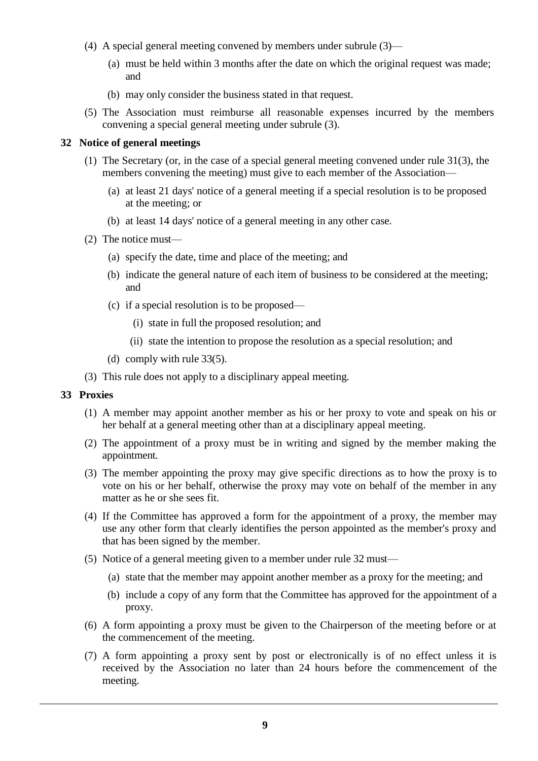- (4) A special general meeting convened by members under subrule (3)—
	- (a) must be held within 3 months after the date on which the original request was made; and
	- (b) may only consider the business stated in that request.
- (5) The Association must reimburse all reasonable expenses incurred by the members convening a special general meeting under subrule (3).

#### **32 Notice of general meetings**

- (1) The Secretary (or, in the case of a special general meeting convened under rule 31(3), the members convening the meeting) must give to each member of the Association—
	- (a) at least 21 days' notice of a general meeting if a special resolution is to be proposed at the meeting; or
	- (b) at least 14 days' notice of a general meeting in any other case.
- (2) The notice must—
	- (a) specify the date, time and place of the meeting; and
	- (b) indicate the general nature of each item of business to be considered at the meeting; and
	- (c) if a special resolution is to be proposed—
		- (i) state in full the proposed resolution; and
		- (ii) state the intention to propose the resolution as a special resolution; and
	- (d) comply with rule 33(5).
- (3) This rule does not apply to a disciplinary appeal meeting.

## **33 Proxies**

- (1) A member may appoint another member as his or her proxy to vote and speak on his or her behalf at a general meeting other than at a disciplinary appeal meeting.
- (2) The appointment of a proxy must be in writing and signed by the member making the appointment.
- (3) The member appointing the proxy may give specific directions as to how the proxy is to vote on his or her behalf, otherwise the proxy may vote on behalf of the member in any matter as he or she sees fit.
- (4) If the Committee has approved a form for the appointment of a proxy, the member may use any other form that clearly identifies the person appointed as the member's proxy and that has been signed by the member.
- (5) Notice of a general meeting given to a member under rule 32 must—
	- (a) state that the member may appoint another member as a proxy for the meeting; and
	- (b) include a copy of any form that the Committee has approved for the appointment of a proxy.
- (6) A form appointing a proxy must be given to the Chairperson of the meeting before or at the commencement of the meeting.
- (7) A form appointing a proxy sent by post or electronically is of no effect unless it is received by the Association no later than 24 hours before the commencement of the meeting.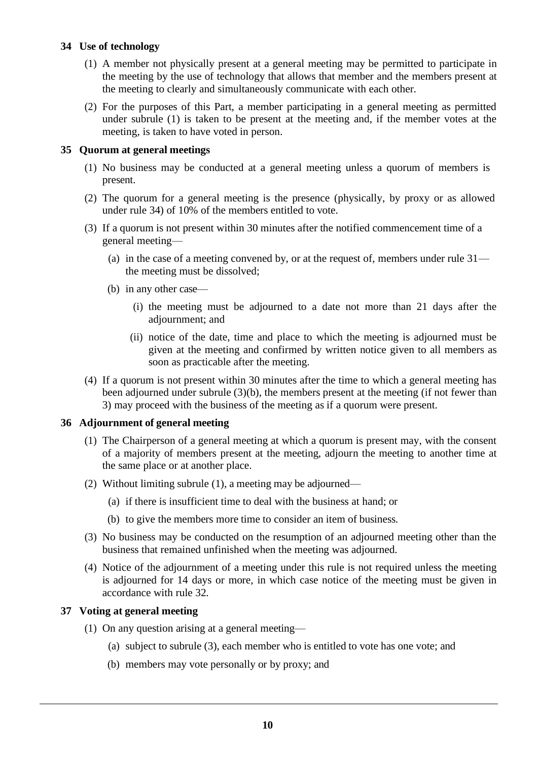# **34 Use of technology**

- (1) A member not physically present at a general meeting may be permitted to participate in the meeting by the use of technology that allows that member and the members present at the meeting to clearly and simultaneously communicate with each other.
- (2) For the purposes of this Part, a member participating in a general meeting as permitted under subrule (1) is taken to be present at the meeting and, if the member votes at the meeting, is taken to have voted in person.

## **35 Quorum at general meetings**

- (1) No business may be conducted at a general meeting unless a quorum of members is present.
- (2) The quorum for a general meeting is the presence (physically, by proxy or as allowed under rule 34) of 10% of the members entitled to vote.
- (3) If a quorum is not present within 30 minutes after the notified commencement time of a general meeting—
	- (a) in the case of a meeting convened by, or at the request of, members under rule  $31$ the meeting must be dissolved;
	- (b) in any other case—
		- (i) the meeting must be adjourned to a date not more than 21 days after the adjournment; and
		- (ii) notice of the date, time and place to which the meeting is adjourned must be given at the meeting and confirmed by written notice given to all members as soon as practicable after the meeting.
- (4) If a quorum is not present within 30 minutes after the time to which a general meeting has been adjourned under subrule (3)(b), the members present at the meeting (if not fewer than 3) may proceed with the business of the meeting as if a quorum were present.

## **36 Adjournment of general meeting**

- (1) The Chairperson of a general meeting at which a quorum is present may, with the consent of a majority of members present at the meeting, adjourn the meeting to another time at the same place or at another place.
- (2) Without limiting subrule (1), a meeting may be adjourned—
	- (a) if there is insufficient time to deal with the business at hand; or
	- (b) to give the members more time to consider an item of business.
- (3) No business may be conducted on the resumption of an adjourned meeting other than the business that remained unfinished when the meeting was adjourned.
- (4) Notice of the adjournment of a meeting under this rule is not required unless the meeting is adjourned for 14 days or more, in which case notice of the meeting must be given in accordance with rule 32.

# **37 Voting at general meeting**

- (1) On any question arising at a general meeting—
	- (a) subject to subrule (3), each member who is entitled to vote has one vote; and
	- (b) members may vote personally or by proxy; and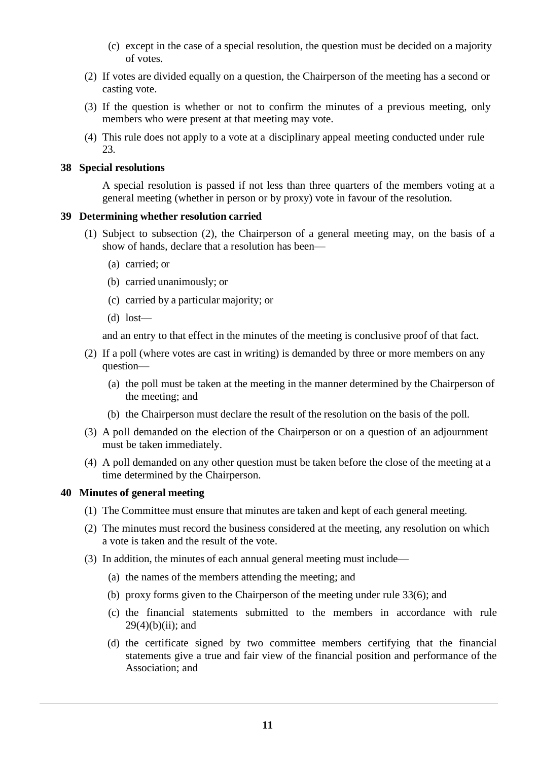- (c) except in the case of a special resolution, the question must be decided on a majority of votes.
- (2) If votes are divided equally on a question, the Chairperson of the meeting has a second or casting vote.
- (3) If the question is whether or not to confirm the minutes of a previous meeting, only members who were present at that meeting may vote.
- (4) This rule does not apply to a vote at a disciplinary appeal meeting conducted under rule 23.

## **38 Special resolutions**

A special resolution is passed if not less than three quarters of the members voting at a general meeting (whether in person or by proxy) vote in favour of the resolution.

# **39 Determining whether resolution carried**

- (1) Subject to subsection (2), the Chairperson of a general meeting may, on the basis of a show of hands, declare that a resolution has been—
	- (a) carried; or
	- (b) carried unanimously; or
	- (c) carried by a particular majority; or
	- (d) lost—

and an entry to that effect in the minutes of the meeting is conclusive proof of that fact.

- (2) If a poll (where votes are cast in writing) is demanded by three or more members on any question—
	- (a) the poll must be taken at the meeting in the manner determined by the Chairperson of the meeting; and
	- (b) the Chairperson must declare the result of the resolution on the basis of the poll.
- (3) A poll demanded on the election of the Chairperson or on a question of an adjournment must be taken immediately.
- (4) A poll demanded on any other question must be taken before the close of the meeting at a time determined by the Chairperson.

# **40 Minutes of general meeting**

- (1) The Committee must ensure that minutes are taken and kept of each general meeting.
- (2) The minutes must record the business considered at the meeting, any resolution on which a vote is taken and the result of the vote.
- (3) In addition, the minutes of each annual general meeting must include—
	- (a) the names of the members attending the meeting; and
	- (b) proxy forms given to the Chairperson of the meeting under rule 33(6); and
	- (c) the financial statements submitted to the members in accordance with rule  $29(4)(b)(ii)$ ; and
	- (d) the certificate signed by two committee members certifying that the financial statements give a true and fair view of the financial position and performance of the Association; and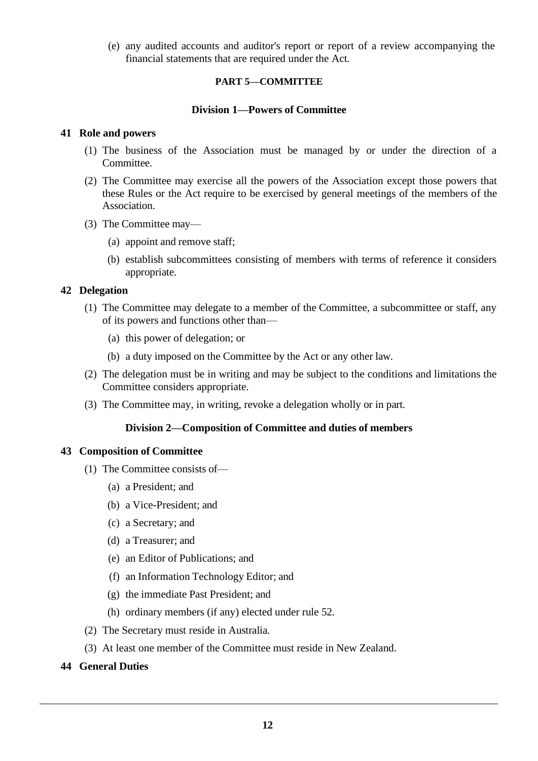(e) any audited accounts and auditor's report or report of a review accompanying the financial statements that are required under the Act.

## **PART 5—COMMITTEE**

## **Division 1—Powers of Committee**

#### **41 Role and powers**

- (1) The business of the Association must be managed by or under the direction of a Committee.
- (2) The Committee may exercise all the powers of the Association except those powers that these Rules or the Act require to be exercised by general meetings of the members of the Association.
- (3) The Committee may—
	- (a) appoint and remove staff;
	- (b) establish subcommittees consisting of members with terms of reference it considers appropriate.

## **42 Delegation**

- (1) The Committee may delegate to a member of the Committee, a subcommittee or staff, any of its powers and functions other than—
	- (a) this power of delegation; or
	- (b) a duty imposed on the Committee by the Act or any other law.
- (2) The delegation must be in writing and may be subject to the conditions and limitations the Committee considers appropriate.
- (3) The Committee may, in writing, revoke a delegation wholly or in part.

## **Division 2—Composition of Committee and duties of members**

## **43 Composition of Committee**

- (1) The Committee consists of—
	- (a) a President; and
	- (b) a Vice-President; and
	- (c) a Secretary; and
	- (d) a Treasurer; and
	- (e) an Editor of Publications; and
	- (f) an Information Technology Editor; and
	- (g) the immediate Past President; and
	- (h) ordinary members (if any) elected under rule 52.
- (2) The Secretary must reside in Australia.
- (3) At least one member of the Committee must reside in New Zealand.

## **44 General Duties**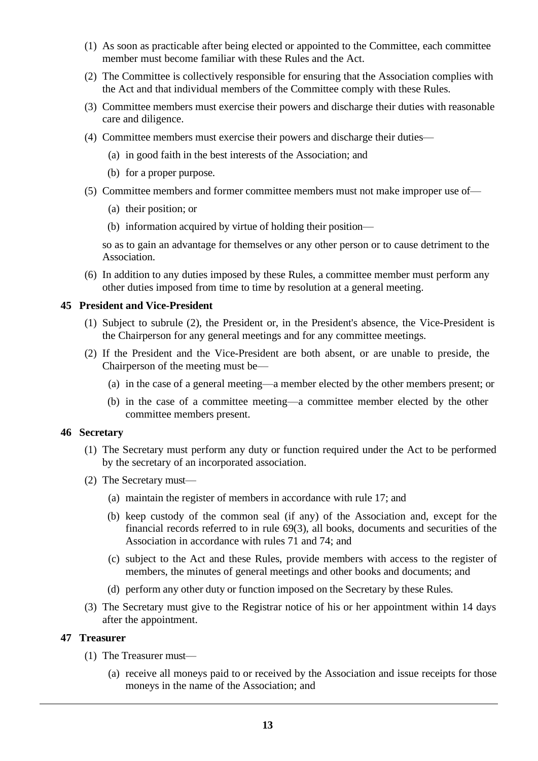- (1) As soon as practicable after being elected or appointed to the Committee, each committee member must become familiar with these Rules and the Act.
- (2) The Committee is collectively responsible for ensuring that the Association complies with the Act and that individual members of the Committee comply with these Rules.
- (3) Committee members must exercise their powers and discharge their duties with reasonable care and diligence.
- (4) Committee members must exercise their powers and discharge their duties—
	- (a) in good faith in the best interests of the Association; and
	- (b) for a proper purpose.
- (5) Committee members and former committee members must not make improper use of—
	- (a) their position; or
	- (b) information acquired by virtue of holding their position—

so as to gain an advantage for themselves or any other person or to cause detriment to the Association.

(6) In addition to any duties imposed by these Rules, a committee member must perform any other duties imposed from time to time by resolution at a general meeting.

## **45 President and Vice-President**

- (1) Subject to subrule (2), the President or, in the President's absence, the Vice-President is the Chairperson for any general meetings and for any committee meetings.
- (2) If the President and the Vice-President are both absent, or are unable to preside, the Chairperson of the meeting must be—
	- (a) in the case of a general meeting—a member elected by the other members present; or
	- (b) in the case of a committee meeting—a committee member elected by the other committee members present.

#### **46 Secretary**

- (1) The Secretary must perform any duty or function required under the Act to be performed by the secretary of an incorporated association.
- (2) The Secretary must—
	- (a) maintain the register of members in accordance with rule 17; and
	- (b) keep custody of the common seal (if any) of the Association and, except for the financial records referred to in rule 69(3), all books, documents and securities of the Association in accordance with rules 71 and 74; and
	- (c) subject to the Act and these Rules, provide members with access to the register of members, the minutes of general meetings and other books and documents; and
	- (d) perform any other duty or function imposed on the Secretary by these Rules.
- (3) The Secretary must give to the Registrar notice of his or her appointment within 14 days after the appointment.

# **47 Treasurer**

- (1) The Treasurer must—
	- (a) receive all moneys paid to or received by the Association and issue receipts for those moneys in the name of the Association; and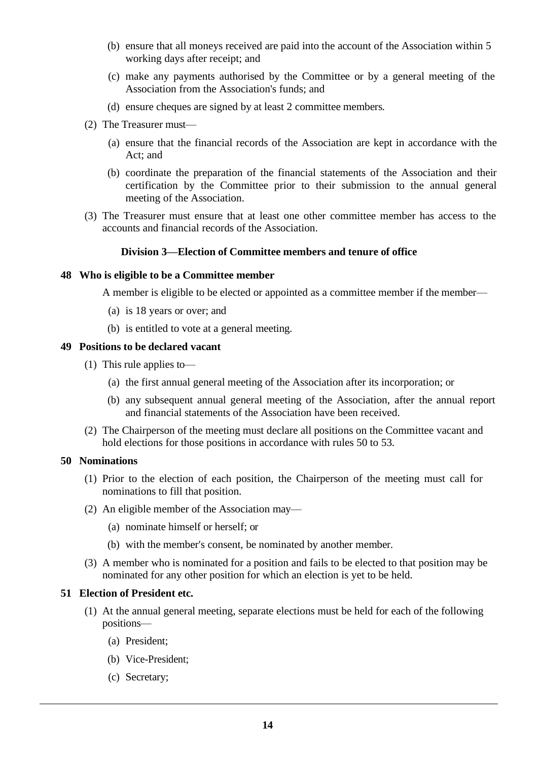- (b) ensure that all moneys received are paid into the account of the Association within 5 working days after receipt; and
- (c) make any payments authorised by the Committee or by a general meeting of the Association from the Association's funds; and
- (d) ensure cheques are signed by at least 2 committee members.
- (2) The Treasurer must—
	- (a) ensure that the financial records of the Association are kept in accordance with the Act; and
	- (b) coordinate the preparation of the financial statements of the Association and their certification by the Committee prior to their submission to the annual general meeting of the Association.
- (3) The Treasurer must ensure that at least one other committee member has access to the accounts and financial records of the Association.

#### **Division 3—Election of Committee members and tenure of office**

#### **48 Who is eligible to be a Committee member**

A member is eligible to be elected or appointed as a committee member if the member—

- (a) is 18 years or over; and
- (b) is entitled to vote at a general meeting.

## **49 Positions to be declared vacant**

- (1) This rule applies to—
	- (a) the first annual general meeting of the Association after its incorporation; or
	- (b) any subsequent annual general meeting of the Association, after the annual report and financial statements of the Association have been received.
- (2) The Chairperson of the meeting must declare all positions on the Committee vacant and hold elections for those positions in accordance with rules 50 to 53.

#### **50 Nominations**

- (1) Prior to the election of each position, the Chairperson of the meeting must call for nominations to fill that position.
- (2) An eligible member of the Association may—
	- (a) nominate himself or herself; or
	- (b) with the member's consent, be nominated by another member.
- (3) A member who is nominated for a position and fails to be elected to that position may be nominated for any other position for which an election is yet to be held.

## **51 Election of President etc.**

- (1) At the annual general meeting, separate elections must be held for each of the following positions—
	- (a) President;
	- (b) Vice-President;
	- (c) Secretary;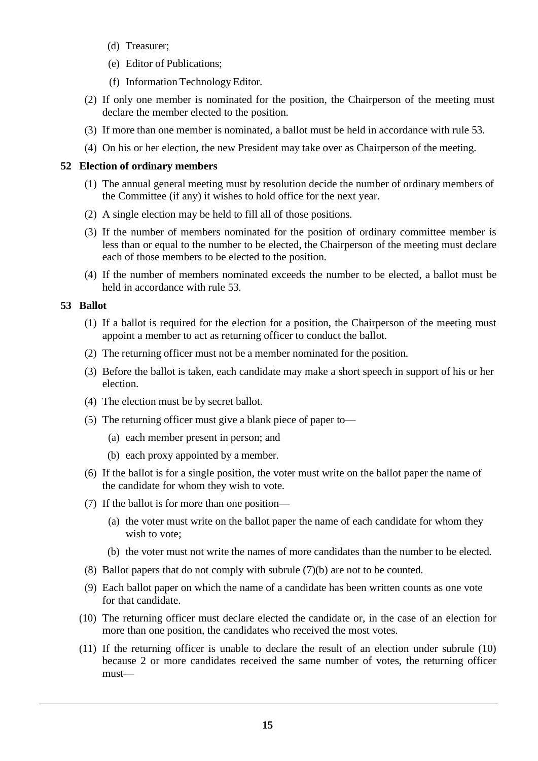- (d) Treasurer;
- (e) Editor of Publications;
- (f) Information Technology Editor.
- (2) If only one member is nominated for the position, the Chairperson of the meeting must declare the member elected to the position.
- (3) If more than one member is nominated, a ballot must be held in accordance with rule 53.
- (4) On his or her election, the new President may take over as Chairperson of the meeting.

## **52 Election of ordinary members**

- (1) The annual general meeting must by resolution decide the number of ordinary members of the Committee (if any) it wishes to hold office for the next year.
- (2) A single election may be held to fill all of those positions.
- (3) If the number of members nominated for the position of ordinary committee member is less than or equal to the number to be elected, the Chairperson of the meeting must declare each of those members to be elected to the position.
- (4) If the number of members nominated exceeds the number to be elected, a ballot must be held in accordance with rule 53.

## **53 Ballot**

- (1) If a ballot is required for the election for a position, the Chairperson of the meeting must appoint a member to act as returning officer to conduct the ballot.
- (2) The returning officer must not be a member nominated for the position.
- (3) Before the ballot is taken, each candidate may make a short speech in support of his or her election.
- (4) The election must be by secret ballot.
- (5) The returning officer must give a blank piece of paper to—
	- (a) each member present in person; and
	- (b) each proxy appointed by a member.
- (6) If the ballot is for a single position, the voter must write on the ballot paper the name of the candidate for whom they wish to vote.
- (7) If the ballot is for more than one position—
	- (a) the voter must write on the ballot paper the name of each candidate for whom they wish to vote;
	- (b) the voter must not write the names of more candidates than the number to be elected.
- (8) Ballot papers that do not comply with subrule (7)(b) are not to be counted.
- (9) Each ballot paper on which the name of a candidate has been written counts as one vote for that candidate.
- (10) The returning officer must declare elected the candidate or, in the case of an election for more than one position, the candidates who received the most votes.
- (11) If the returning officer is unable to declare the result of an election under subrule (10) because 2 or more candidates received the same number of votes, the returning officer must—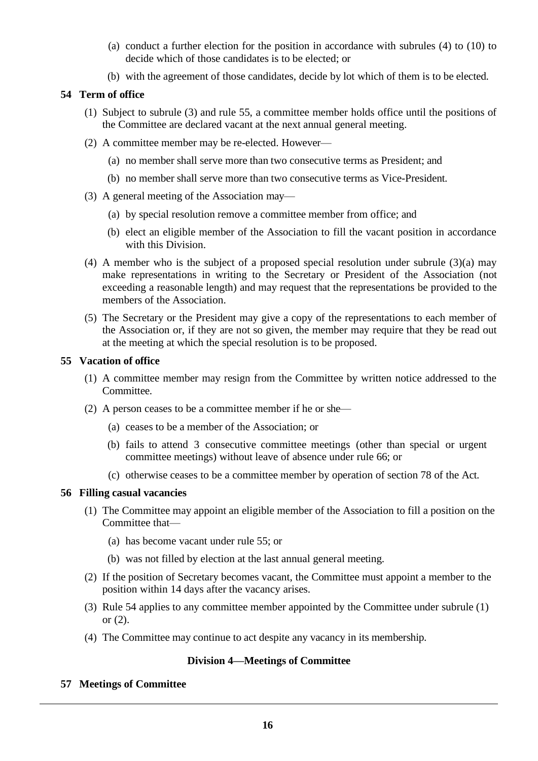- (a) conduct a further election for the position in accordance with subrules (4) to (10) to decide which of those candidates is to be elected; or
- (b) with the agreement of those candidates, decide by lot which of them is to be elected.

## **54 Term of office**

- (1) Subject to subrule (3) and rule 55, a committee member holds office until the positions of the Committee are declared vacant at the next annual general meeting.
- (2) A committee member may be re-elected. However—
	- (a) no member shall serve more than two consecutive terms as President; and
	- (b) no member shall serve more than two consecutive terms as Vice-President.
- (3) A general meeting of the Association may—
	- (a) by special resolution remove a committee member from office; and
	- (b) elect an eligible member of the Association to fill the vacant position in accordance with this Division.
- (4) A member who is the subject of a proposed special resolution under subrule (3)(a) may make representations in writing to the Secretary or President of the Association (not exceeding a reasonable length) and may request that the representations be provided to the members of the Association.
- (5) The Secretary or the President may give a copy of the representations to each member of the Association or, if they are not so given, the member may require that they be read out at the meeting at which the special resolution is to be proposed.

## **55 Vacation of office**

- (1) A committee member may resign from the Committee by written notice addressed to the Committee.
- (2) A person ceases to be a committee member if he or she—
	- (a) ceases to be a member of the Association; or
	- (b) fails to attend 3 consecutive committee meetings (other than special or urgent committee meetings) without leave of absence under rule 66; or
	- (c) otherwise ceases to be a committee member by operation of section 78 of the Act.

## **56 Filling casual vacancies**

- (1) The Committee may appoint an eligible member of the Association to fill a position on the Committee that—
	- (a) has become vacant under rule 55; or
	- (b) was not filled by election at the last annual general meeting.
- (2) If the position of Secretary becomes vacant, the Committee must appoint a member to the position within 14 days after the vacancy arises.
- (3) Rule 54 applies to any committee member appointed by the Committee under subrule (1) or (2).
- (4) The Committee may continue to act despite any vacancy in its membership.

## **Division 4—Meetings of Committee**

**57 Meetings of Committee**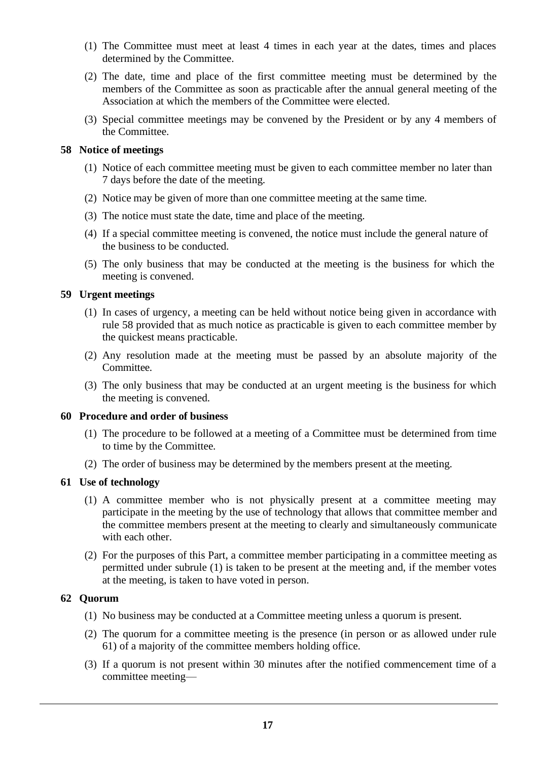- (1) The Committee must meet at least 4 times in each year at the dates, times and places determined by the Committee.
- (2) The date, time and place of the first committee meeting must be determined by the members of the Committee as soon as practicable after the annual general meeting of the Association at which the members of the Committee were elected.
- (3) Special committee meetings may be convened by the President or by any 4 members of the Committee.

## **58 Notice of meetings**

- (1) Notice of each committee meeting must be given to each committee member no later than 7 days before the date of the meeting.
- (2) Notice may be given of more than one committee meeting at the same time.
- (3) The notice must state the date, time and place of the meeting.
- (4) If a special committee meeting is convened, the notice must include the general nature of the business to be conducted.
- (5) The only business that may be conducted at the meeting is the business for which the meeting is convened.

# **59 Urgent meetings**

- (1) In cases of urgency, a meeting can be held without notice being given in accordance with rule 58 provided that as much notice as practicable is given to each committee member by the quickest means practicable.
- (2) Any resolution made at the meeting must be passed by an absolute majority of the Committee.
- (3) The only business that may be conducted at an urgent meeting is the business for which the meeting is convened.

## **60 Procedure and order of business**

- (1) The procedure to be followed at a meeting of a Committee must be determined from time to time by the Committee.
- (2) The order of business may be determined by the members present at the meeting.

# **61 Use of technology**

- (1) A committee member who is not physically present at a committee meeting may participate in the meeting by the use of technology that allows that committee member and the committee members present at the meeting to clearly and simultaneously communicate with each other.
- (2) For the purposes of this Part, a committee member participating in a committee meeting as permitted under subrule (1) is taken to be present at the meeting and, if the member votes at the meeting, is taken to have voted in person.

# **62 Quorum**

- (1) No business may be conducted at a Committee meeting unless a quorum is present.
- (2) The quorum for a committee meeting is the presence (in person or as allowed under rule 61) of a majority of the committee members holding office.
- (3) If a quorum is not present within 30 minutes after the notified commencement time of a committee meeting—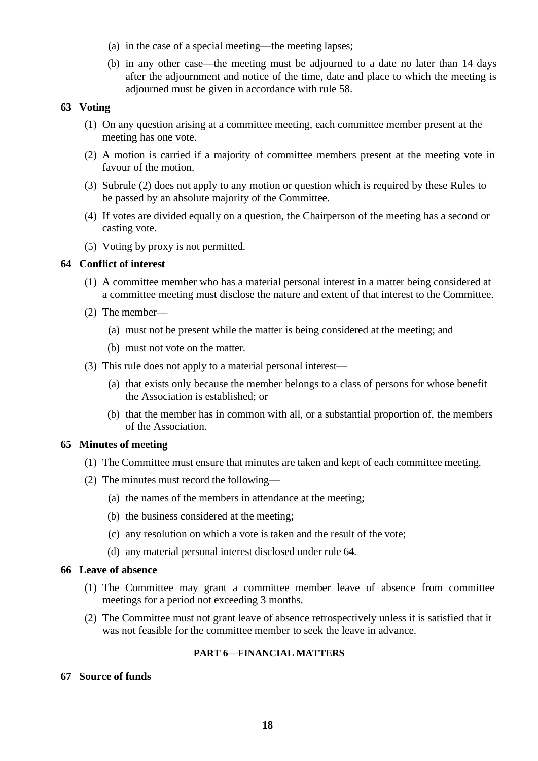- (a) in the case of a special meeting—the meeting lapses;
- (b) in any other case—the meeting must be adjourned to a date no later than 14 days after the adjournment and notice of the time, date and place to which the meeting is adjourned must be given in accordance with rule 58.

#### **63 Voting**

- (1) On any question arising at a committee meeting, each committee member present at the meeting has one vote.
- (2) A motion is carried if a majority of committee members present at the meeting vote in favour of the motion.
- (3) Subrule (2) does not apply to any motion or question which is required by these Rules to be passed by an absolute majority of the Committee.
- (4) If votes are divided equally on a question, the Chairperson of the meeting has a second or casting vote.
- (5) Voting by proxy is not permitted.

## **64 Conflict of interest**

- (1) A committee member who has a material personal interest in a matter being considered at a committee meeting must disclose the nature and extent of that interest to the Committee.
- (2) The member—
	- (a) must not be present while the matter is being considered at the meeting; and
	- (b) must not vote on the matter.
- (3) This rule does not apply to a material personal interest—
	- (a) that exists only because the member belongs to a class of persons for whose benefit the Association is established; or
	- (b) that the member has in common with all, or a substantial proportion of, the members of the Association.

#### **65 Minutes of meeting**

- (1) The Committee must ensure that minutes are taken and kept of each committee meeting.
- (2) The minutes must record the following—
	- (a) the names of the members in attendance at the meeting;
	- (b) the business considered at the meeting;
	- (c) any resolution on which a vote is taken and the result of the vote;
	- (d) any material personal interest disclosed under rule 64.

## **66 Leave of absence**

- (1) The Committee may grant a committee member leave of absence from committee meetings for a period not exceeding 3 months.
- (2) The Committee must not grant leave of absence retrospectively unless it is satisfied that it was not feasible for the committee member to seek the leave in advance.

## **PART 6—FINANCIAL MATTERS**

# **67 Source of funds**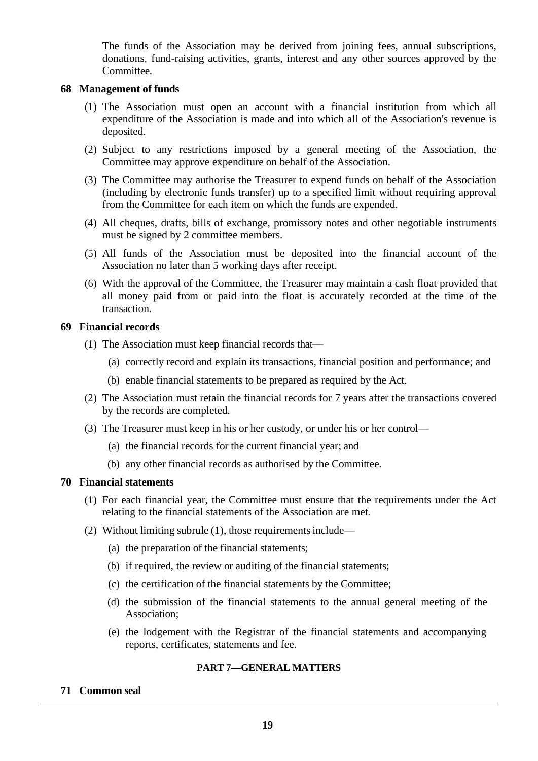The funds of the Association may be derived from joining fees, annual subscriptions, donations, fund-raising activities, grants, interest and any other sources approved by the Committee.

### **68 Management of funds**

- (1) The Association must open an account with a financial institution from which all expenditure of the Association is made and into which all of the Association's revenue is deposited.
- (2) Subject to any restrictions imposed by a general meeting of the Association, the Committee may approve expenditure on behalf of the Association.
- (3) The Committee may authorise the Treasurer to expend funds on behalf of the Association (including by electronic funds transfer) up to a specified limit without requiring approval from the Committee for each item on which the funds are expended.
- (4) All cheques, drafts, bills of exchange, promissory notes and other negotiable instruments must be signed by 2 committee members.
- (5) All funds of the Association must be deposited into the financial account of the Association no later than 5 working days after receipt.
- (6) With the approval of the Committee, the Treasurer may maintain a cash float provided that all money paid from or paid into the float is accurately recorded at the time of the transaction.

#### **69 Financial records**

- (1) The Association must keep financial records that—
	- (a) correctly record and explain its transactions, financial position and performance; and
	- (b) enable financial statements to be prepared as required by the Act.
- (2) The Association must retain the financial records for 7 years after the transactions covered by the records are completed.
- (3) The Treasurer must keep in his or her custody, or under his or her control—
	- (a) the financial records for the current financial year; and
	- (b) any other financial records as authorised by the Committee.

## **70 Financial statements**

- (1) For each financial year, the Committee must ensure that the requirements under the Act relating to the financial statements of the Association are met.
- (2) Without limiting subrule (1), those requirements include—
	- (a) the preparation of the financial statements;
	- (b) if required, the review or auditing of the financial statements;
	- (c) the certification of the financial statements by the Committee;
	- (d) the submission of the financial statements to the annual general meeting of the Association;
	- (e) the lodgement with the Registrar of the financial statements and accompanying reports, certificates, statements and fee.

#### **PART 7—GENERAL MATTERS**

## **71 Common seal**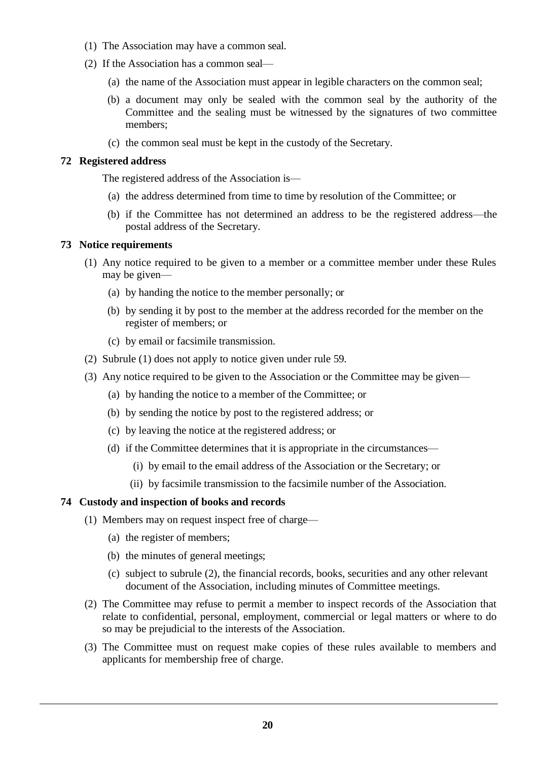- (1) The Association may have a common seal.
- (2) If the Association has a common seal—
	- (a) the name of the Association must appear in legible characters on the common seal;
	- (b) a document may only be sealed with the common seal by the authority of the Committee and the sealing must be witnessed by the signatures of two committee members;
	- (c) the common seal must be kept in the custody of the Secretary.

#### **72 Registered address**

The registered address of the Association is—

- (a) the address determined from time to time by resolution of the Committee; or
- (b) if the Committee has not determined an address to be the registered address—the postal address of the Secretary.

#### **73 Notice requirements**

- (1) Any notice required to be given to a member or a committee member under these Rules may be given—
	- (a) by handing the notice to the member personally; or
	- (b) by sending it by post to the member at the address recorded for the member on the register of members; or
	- (c) by email or facsimile transmission.
- (2) Subrule (1) does not apply to notice given under rule 59.
- (3) Any notice required to be given to the Association or the Committee may be given—
	- (a) by handing the notice to a member of the Committee; or
	- (b) by sending the notice by post to the registered address; or
	- (c) by leaving the notice at the registered address; or
	- (d) if the Committee determines that it is appropriate in the circumstances—
		- (i) by email to the email address of the Association or the Secretary; or
		- (ii) by facsimile transmission to the facsimile number of the Association.

#### **74 Custody and inspection of books and records**

- (1) Members may on request inspect free of charge—
	- (a) the register of members;
	- (b) the minutes of general meetings;
	- (c) subject to subrule (2), the financial records, books, securities and any other relevant document of the Association, including minutes of Committee meetings.
- (2) The Committee may refuse to permit a member to inspect records of the Association that relate to confidential, personal, employment, commercial or legal matters or where to do so may be prejudicial to the interests of the Association.
- (3) The Committee must on request make copies of these rules available to members and applicants for membership free of charge.